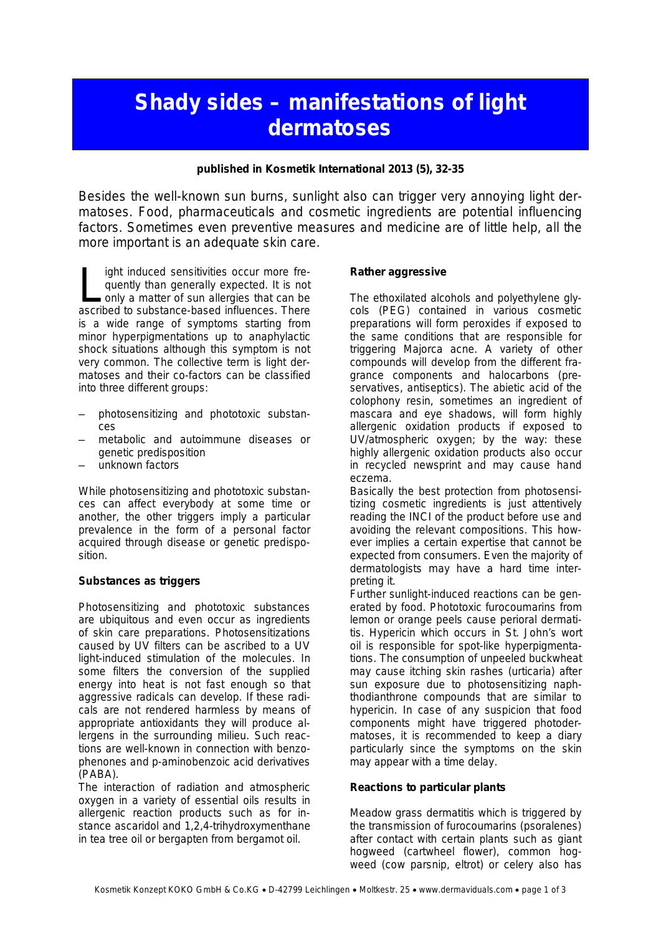# **Shady sides – manifestations of light dermatoses**

**published in Kosmetik International 2013 (5), 32-35**

Besides the well-known sun burns, sunlight also can trigger very annoying light dermatoses. Food, pharmaceuticals and cosmetic ingredients are potential influencing factors. Sometimes even preventive measures and medicine are of little help, all the more important is an adequate skin care.

ight induced sensitivities occur more frequently than generally expected. It is not only a matter of sun allergies that can be ight induced sensitivities occur more frequently than generally expected. It is not only a matter of sun allergies that can be ascribed to substance-based influences. There is a wide range of symptoms starting from minor hyperpigmentations up to anaphylactic shock situations although this symptom is not very common. The collective term is light dermatoses and their co-factors can be classified into three different groups:

- photosensitizing and phototoxic substances
- metabolic and autoimmune diseases or genetic predisposition
- unknown factors

While photosensitizing and phototoxic substances can affect everybody at some time or another, the other triggers imply a particular prevalence in the form of a personal factor acquired through disease or genetic predisposition.

### **Substances as triggers**

Photosensitizing and phototoxic substances are ubiquitous and even occur as ingredients of skin care preparations. Photosensitizations caused by UV filters can be ascribed to a UV light-induced stimulation of the molecules. In some filters the conversion of the supplied energy into heat is not fast enough so that aggressive radicals can develop. If these radicals are not rendered harmless by means of appropriate antioxidants they will produce allergens in the surrounding milieu. Such reactions are well-known in connection with benzophenones and p-aminobenzoic acid derivatives (PABA).

The interaction of radiation and atmospheric oxygen in a variety of essential oils results in allergenic reaction products such as for instance ascaridol and 1,2,4-trihydroxymenthane in tea tree oil or bergapten from bergamot oil.

### **Rather aggressive**

The ethoxilated alcohols and polyethylene glycols (PEG) contained in various cosmetic preparations will form peroxides if exposed to the same conditions that are responsible for triggering Majorca acne. A variety of other compounds will develop from the different fragrance components and halocarbons (preservatives, antiseptics). The abietic acid of the colophony resin, sometimes an ingredient of mascara and eye shadows, will form highly allergenic oxidation products if exposed to UV/atmospheric oxygen; by the way: these highly allergenic oxidation products also occur in recycled newsprint and may cause hand eczema.

Basically the best protection from photosensitizing cosmetic ingredients is just attentively reading the INCI of the product before use and avoiding the relevant compositions. This however implies a certain expertise that cannot be expected from consumers. Even the majority of dermatologists may have a hard time interpreting it.

Further sunlight-induced reactions can be generated by food. Phototoxic furocoumarins from lemon or orange peels cause perioral dermatitis. Hypericin which occurs in St. John's wort oil is responsible for spot-like hyperpigmentations. The consumption of unpeeled buckwheat may cause itching skin rashes (urticaria) after sun exposure due to photosensitizing naphthodianthrone compounds that are similar to hypericin. In case of any suspicion that food components might have triggered photodermatoses, it is recommended to keep a diary particularly since the symptoms on the skin may appear with a time delay.

### **Reactions to particular plants**

Meadow grass dermatitis which is triggered by the transmission of furocoumarins (psoralenes) after contact with certain plants such as giant hogweed (cartwheel flower), common hogweed (cow parsnip, eltrot) or celery also has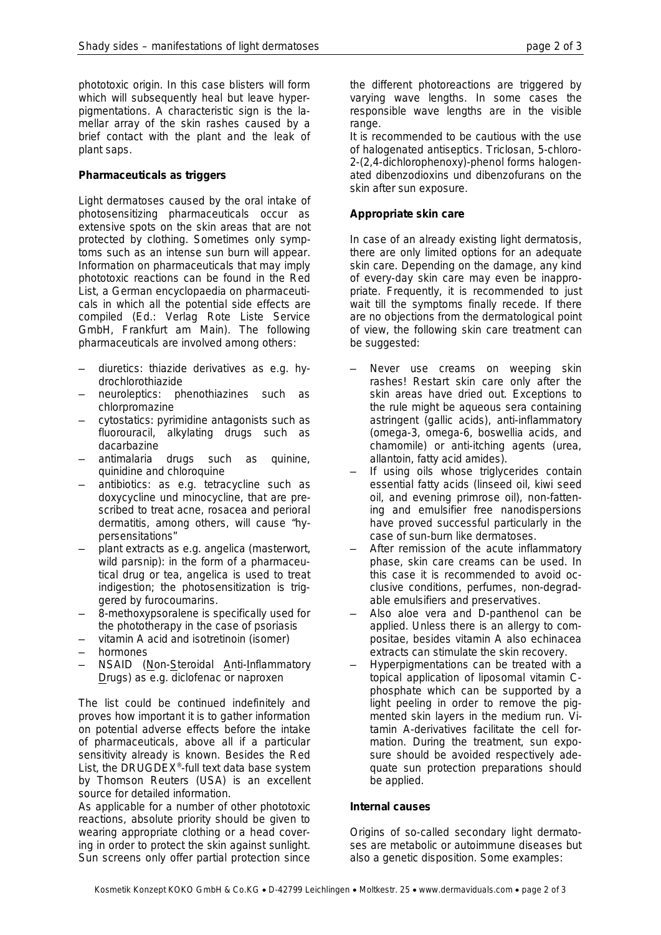phototoxic origin. In this case blisters will form which will subsequently heal but leave hyperpigmentations. A characteristic sign is the lamellar array of the skin rashes caused by a brief contact with the plant and the leak of plant saps.

# **Pharmaceuticals as triggers**

Light dermatoses caused by the oral intake of photosensitizing pharmaceuticals occur as extensive spots on the skin areas that are not protected by clothing. Sometimes only symptoms such as an intense sun burn will appear. Information on pharmaceuticals that may imply phototoxic reactions can be found in the Red List, a German encyclopaedia on pharmaceuticals in which all the potential side effects are compiled (Ed.: Verlag Rote Liste Service GmbH, Frankfurt am Main). The following pharmaceuticals are involved among others:

- diuretics: thiazide derivatives as e.g. hydrochlorothiazide
- neuroleptics: phenothiazines such as chlorpromazine
- cytostatics: pyrimidine antagonists such as fluorouracil, alkylating drugs such as dacarbazine
- antimalaria drugs such as quinine, quinidine and chloroquine
- antibiotics: as e.g. tetracycline such as doxycycline und minocycline, that are prescribed to treat acne, rosacea and perioral dermatitis, among others, will cause "hypersensitations"
- plant extracts as e.g. angelica (masterwort, wild parsnip): in the form of a pharmaceutical drug or tea, angelica is used to treat indigestion; the photosensitization is triggered by furocoumarins.
- 8-methoxypsoralene is specifically used for the phototherapy in the case of psoriasis
- vitamin A acid and isotretinoin (isomer)
- hormones
- NSAID (Non-Steroidal Anti-Inflammatory Drugs) as e.g. diclofenac or naproxen

The list could be continued indefinitely and proves how important it is to gather information on potential adverse effects before the intake of pharmaceuticals, above all if a particular sensitivity already is known. Besides the Red List, the DRUGDEX® -full text data base system by Thomson Reuters (USA) is an excellent source for detailed information.

As applicable for a number of other phototoxic reactions, absolute priority should be given to wearing appropriate clothing or a head covering in order to protect the skin against sunlight. Sun screens only offer partial protection since

the different photoreactions are triggered by varying wave lengths. In some cases the responsible wave lengths are in the visible range.

It is recommended to be cautious with the use of halogenated antiseptics. Triclosan, 5-chloro-2-(2,4-dichlorophenoxy)-phenol forms halogenated dibenzodioxins und dibenzofurans on the skin after sun exposure.

# **Appropriate skin care**

In case of an already existing light dermatosis, there are only limited options for an adequate skin care. Depending on the damage, any kind of every-day skin care may even be inappropriate. Frequently, it is recommended to just wait till the symptoms finally recede. If there are no objections from the dermatological point of view, the following skin care treatment can be suggested:

- Never use creams on weeping skin rashes! Restart skin care only after the skin areas have dried out. Exceptions to the rule might be aqueous sera containing astringent (gallic acids), anti-inflammatory (omega-3, omega-6, boswellia acids, and chamomile) or anti-itching agents (urea, allantoin, fatty acid amides).
- If using oils whose triglycerides contain essential fatty acids (linseed oil, kiwi seed oil, and evening primrose oil), non-fattening and emulsifier free nanodispersions have proved successful particularly in the case of sun-burn like dermatoses.
- After remission of the acute inflammatory phase, skin care creams can be used. In this case it is recommended to avoid occlusive conditions, perfumes, non-degradable emulsifiers and preservatives.
- Also aloe vera and D-panthenol can be applied. Unless there is an allergy to compositae, besides vitamin A also echinacea extracts can stimulate the skin recovery.
- Hyperpigmentations can be treated with a topical application of liposomal vitamin Cphosphate which can be supported by a light peeling in order to remove the pigmented skin layers in the medium run. Vitamin A-derivatives facilitate the cell formation. During the treatment, sun exposure should be avoided respectively adequate sun protection preparations should be applied.

### **Internal causes**

Origins of so-called secondary light dermatoses are metabolic or autoimmune diseases but also a genetic disposition. Some examples: